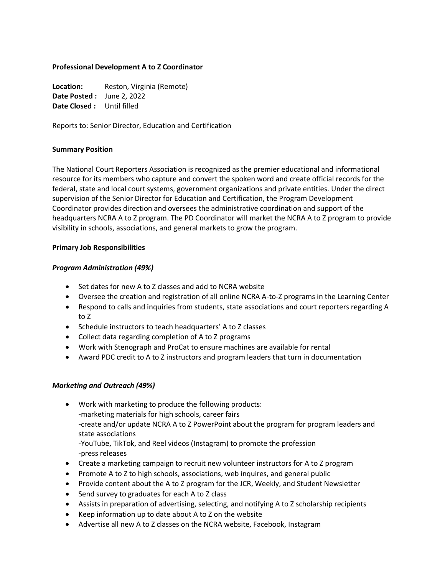### **Professional Development A to Z Coordinator**

Location: Reston, Virginia (Remote) **Date Posted :** June 2, 2022 **Date Closed :** Until filled

Reports to: Senior Director, Education and Certification

#### **Summary Position**

The National Court Reporters Association is recognized as the premier educational and informational resource for its members who capture and convert the spoken word and create official records for the federal, state and local court systems, government organizations and private entities. Under the direct supervision of the Senior Director for Education and Certification, the Program Development Coordinator provides direction and oversees the administrative coordination and support of the headquarters NCRA A to Z program. The PD Coordinator will market the NCRA A to Z program to provide visibility in schools, associations, and general markets to grow the program.

### **Primary Job Responsibilities**

## *Program Administration (49%)*

- Set dates for new A to Z classes and add to NCRA website
- Oversee the creation and registration of all online NCRA A-to-Z programs in the Learning Center
- Respond to calls and inquiries from students, state associations and court reporters regarding A to Z
- Schedule instructors to teach headquarters' A to Z classes
- Collect data regarding completion of A to Z programs
- Work with Stenograph and ProCat to ensure machines are available for rental
- Award PDC credit to A to Z instructors and program leaders that turn in documentation

## *Marketing and Outreach (49%)*

- Work with marketing to produce the following products: -marketing materials for high schools, career fairs -create and/or update NCRA A to Z PowerPoint about the program for program leaders and state associations -YouTube, TikTok, and Reel videos (Instagram) to promote the profession -press releases
- Create a marketing campaign to recruit new volunteer instructors for A to Z program
- Promote A to Z to high schools, associations, web inquires, and general public
- Provide content about the A to Z program for the JCR, Weekly, and Student Newsletter
- Send survey to graduates for each A to Z class
- Assists in preparation of advertising, selecting, and notifying A to Z scholarship recipients
- Keep information up to date about A to Z on the website
- Advertise all new A to Z classes on the NCRA website, Facebook, Instagram